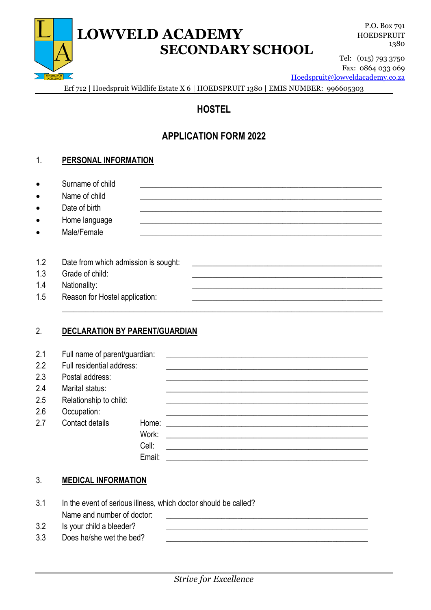# **LOWVELD ACADEMY SECONDARY SCHOOL**

P.O. Box 791 HOEDSPRUIT 1380

Tel: (015) 793 3750 Fax: 0864 033 069

[Hoedspruit@lowveldacademy.co.za](mailto:Hoedspruit@lowveldacademy.co.za)

Erf 712 | Hoedspruit Wildlife Estate X 6 | HOEDSPRUIT 1380 | EMIS NUMBER: 996605303

# **HOSTEL**

# **APPLICATION FORM 2022**

#### 1. **PERSONAL INFORMATION**

| Surname of child |  |
|------------------|--|
|                  |  |

- Name of child
- Date of birth
- Home language
- Male/Female

| 1.2 | Date from which admission is sought: |  |
|-----|--------------------------------------|--|
| 1.3 | Grade of child:                      |  |
| 1.4 | Nationality:                         |  |
| 1.5 | Reason for Hostel application:       |  |
|     |                                      |  |

## 2. **DECLARATION BY PARENT/GUARDIAN**

| 2.1 | Full name of parent/guardian: |        |  |
|-----|-------------------------------|--------|--|
| 2.2 | Full residential address:     |        |  |
| 2.3 | Postal address:               |        |  |
| 2.4 | Marital status:               |        |  |
| 2.5 | Relationship to child:        |        |  |
| 2.6 | Occupation:                   |        |  |
| 2.7 | Contact details               | Home:  |  |
|     |                               | Work:  |  |
|     |                               | Cell:  |  |
|     |                               | Email: |  |

## 3. **MEDICAL INFORMATION**

- 3.1 In the event of serious illness, which doctor should be called? Name and number of doctor:
- 3.2 Is your child a bleeder?
- 3.3 Does he/she wet the bed?